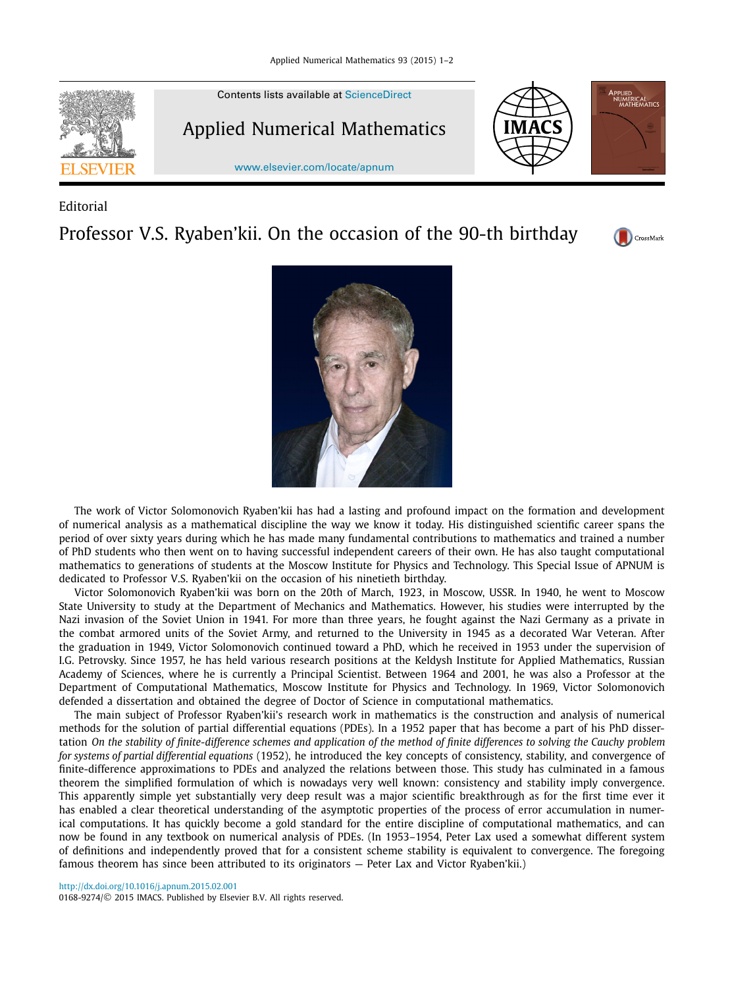

## Editorial

Professor V.S. Ryaben'kii. On the occasion of the 90-th birthday





The work of Victor Solomonovich Ryaben'kii has had a lasting and profound impact on the formation and development of numerical analysis as a mathematical discipline the way we know it today. His distinguished scientific career spans the period of over sixty years during which he has made many fundamental contributions to mathematics and trained a number of PhD students who then went on to having successful independent careers of their own. He has also taught computational mathematics to generations of students at the Moscow Institute for Physics and Technology. This Special Issue of APNUM is dedicated to Professor V.S. Ryaben'kii on the occasion of his ninetieth birthday.

Victor Solomonovich Ryaben'kii was born on the 20th of March, 1923, in Moscow, USSR. In 1940, he went to Moscow State University to study at the Department of Mechanics and Mathematics. However, his studies were interrupted by the Nazi invasion of the Soviet Union in 1941. For more than three years, he fought against the Nazi Germany as a private in the combat armored units of the Soviet Army, and returned to the University in 1945 as a decorated War Veteran. After the graduation in 1949, Victor Solomonovich continued toward a PhD, which he received in 1953 under the supervision of I.G. Petrovsky. Since 1957, he has held various research positions at the Keldysh Institute for Applied Mathematics, Russian Academy of Sciences, where he is currently a Principal Scientist. Between 1964 and 2001, he was also a Professor at the Department of Computational Mathematics, Moscow Institute for Physics and Technology. In 1969, Victor Solomonovich defended a dissertation and obtained the degree of Doctor of Science in computational mathematics.

The main subject of Professor Ryaben'kii's research work in mathematics is the construction and analysis of numerical methods for the solution of partial differential equations (PDEs). In a 1952 paper that has become a part of his PhD dissertation On the stability of finite-difference schemes and application of the method of finite differences to solving the Cauchy problem *for systems of partial differential equations* (1952), he introduced the key concepts of consistency, stability, and convergence of finite-difference approximations to PDEs and analyzed the relations between those. This study has culminated in a famous theorem the simplified formulation of which is nowadays very well known: consistency and stability imply convergence. This apparently simple yet substantially very deep result was a major scientific breakthrough as for the first time ever it has enabled a clear theoretical understanding of the asymptotic properties of the process of error accumulation in numerical computations. It has quickly become a gold standard for the entire discipline of computational mathematics, and can now be found in any textbook on numerical analysis of PDEs. (In 1953–1954, Peter Lax used a somewhat different system of definitions and independently proved that for a consistent scheme stability is equivalent to convergence. The foregoing famous theorem has since been attributed to its originators — Peter Lax and Victor Ryaben'kii.)

<http://dx.doi.org/10.1016/j.apnum.2015.02.001> 0168-9274/© 2015 IMACS. Published by Elsevier B.V. All rights reserved.